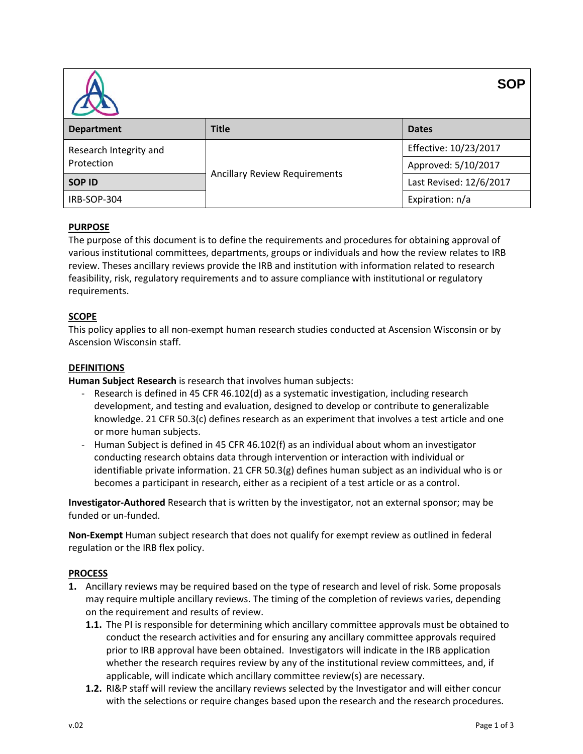| <b>SOP</b>                           |                                      |                         |  |  |
|--------------------------------------|--------------------------------------|-------------------------|--|--|
| <b>Department</b>                    | <b>Title</b>                         | <b>Dates</b>            |  |  |
| Research Integrity and<br>Protection | <b>Ancillary Review Requirements</b> | Effective: 10/23/2017   |  |  |
|                                      |                                      | Approved: 5/10/2017     |  |  |
| <b>SOP ID</b>                        |                                      | Last Revised: 12/6/2017 |  |  |
| IRB-SOP-304                          |                                      | Expiration: n/a         |  |  |

# **PURPOSE**

The purpose of this document is to define the requirements and procedures for obtaining approval of various institutional committees, departments, groups or individuals and how the review relates to IRB review. Theses ancillary reviews provide the IRB and institution with information related to research feasibility, risk, regulatory requirements and to assure compliance with institutional or regulatory requirements.

## **SCOPE**

This policy applies to all non-exempt human research studies conducted at Ascension Wisconsin or by Ascension Wisconsin staff.

### **DEFINITIONS**

**Human Subject Research** is research that involves human subjects:

- Research is defined in 45 CFR 46.102(d) as a systematic investigation, including research development, and testing and evaluation, designed to develop or contribute to generalizable knowledge. 21 CFR 50.3(c) defines research as an experiment that involves a test article and one or more human subjects.
- Human Subject is defined in 45 CFR 46.102(f) as an individual about whom an investigator conducting research obtains data through intervention or interaction with individual or identifiable private information. 21 CFR 50.3(g) defines human subject as an individual who is or becomes a participant in research, either as a recipient of a test article or as a control.

**Investigator-Authored** Research that is written by the investigator, not an external sponsor; may be funded or un-funded.

**Non-Exempt** Human subject research that does not qualify for exempt review as outlined in federal regulation or the IRB flex policy.

### **PROCESS**

- **1.** Ancillary reviews may be required based on the type of research and level of risk. Some proposals may require multiple ancillary reviews. The timing of the completion of reviews varies, depending on the requirement and results of review.
	- **1.1.** The PI is responsible for determining which ancillary committee approvals must be obtained to conduct the research activities and for ensuring any ancillary committee approvals required prior to IRB approval have been obtained. Investigators will indicate in the IRB application whether the research requires review by any of the institutional review committees, and, if applicable, will indicate which ancillary committee review(s) are necessary.
	- **1.2.** RI&P staff will review the ancillary reviews selected by the Investigator and will either concur with the selections or require changes based upon the research and the research procedures.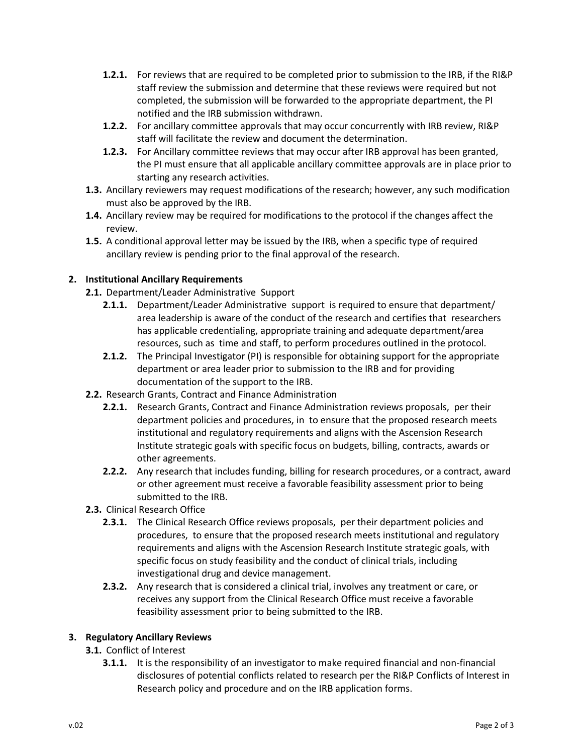- **1.2.1.** For reviews that are required to be completed prior to submission to the IRB, if the RI&P staff review the submission and determine that these reviews were required but not completed, the submission will be forwarded to the appropriate department, the PI notified and the IRB submission withdrawn.
- **1.2.2.** For ancillary committee approvals that may occur concurrently with IRB review, RI&P staff will facilitate the review and document the determination.
- **1.2.3.** For Ancillary committee reviews that may occur after IRB approval has been granted, the PI must ensure that all applicable ancillary committee approvals are in place prior to starting any research activities.
- **1.3.** Ancillary reviewers may request modifications of the research; however, any such modification must also be approved by the IRB.
- **1.4.** Ancillary review may be required for modifications to the protocol if the changes affect the review.
- **1.5.** A conditional approval letter may be issued by the IRB, when a specific type of required ancillary review is pending prior to the final approval of the research.

# **2. Institutional Ancillary Requirements**

- **2.1.** Department/Leader Administrative Support
	- **2.1.1.** Department/Leader Administrative support is required to ensure that department/ area leadership is aware of the conduct of the research and certifies that researchers has applicable credentialing, appropriate training and adequate department/area resources, such as time and staff, to perform procedures outlined in the protocol.
	- **2.1.2.** The Principal Investigator (PI) is responsible for obtaining support for the appropriate department or area leader prior to submission to the IRB and for providing documentation of the support to the IRB.
- **2.2.** Research Grants, Contract and Finance Administration
	- **2.2.1.** Research Grants, Contract and Finance Administration reviews proposals, per their department policies and procedures, in to ensure that the proposed research meets institutional and regulatory requirements and aligns with the Ascension Research Institute strategic goals with specific focus on budgets, billing, contracts, awards or other agreements.
	- **2.2.2.** Any research that includes funding, billing for research procedures, or a contract, award or other agreement must receive a favorable feasibility assessment prior to being submitted to the IRB.
- **2.3.** Clinical Research Office
	- **2.3.1.** The Clinical Research Office reviews proposals, per their department policies and procedures, to ensure that the proposed research meets institutional and regulatory requirements and aligns with the Ascension Research Institute strategic goals, with specific focus on study feasibility and the conduct of clinical trials, including investigational drug and device management.
	- **2.3.2.** Any research that is considered a clinical trial, involves any treatment or care, or receives any support from the Clinical Research Office must receive a favorable feasibility assessment prior to being submitted to the IRB.

# **3. Regulatory Ancillary Reviews**

- **3.1.** Conflict of Interest
	- **3.1.1.** It is the responsibility of an investigator to make required financial and non-financial disclosures of potential conflicts related to research per the RI&P Conflicts of Interest in Research policy and procedure and on the IRB application forms.